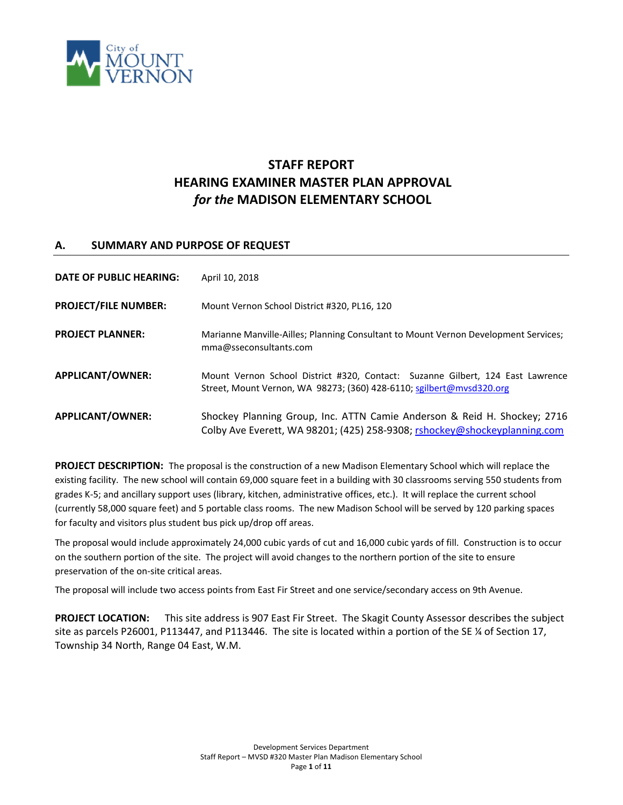

# **STAFF REPORT HEARING EXAMINER MASTER PLAN APPROVAL** *for the* **MADISON ELEMENTARY SCHOOL**

# **A. SUMMARY AND PURPOSE OF REQUEST**

| DATE OF PUBLIC HEARING:     | April 10, 2018                                                                                                                                         |  |
|-----------------------------|--------------------------------------------------------------------------------------------------------------------------------------------------------|--|
| <b>PROJECT/FILE NUMBER:</b> | Mount Vernon School District #320, PL16, 120                                                                                                           |  |
| <b>PROJECT PLANNER:</b>     | Marianne Manville-Ailles; Planning Consultant to Mount Vernon Development Services;<br>mma@sseconsultants.com                                          |  |
| <b>APPLICANT/OWNER:</b>     | Mount Vernon School District #320, Contact: Suzanne Gilbert, 124 East Lawrence<br>Street, Mount Vernon, WA 98273; (360) 428-6110; sgilbert@mysd320.org |  |
| <b>APPLICANT/OWNER:</b>     | Shockey Planning Group, Inc. ATTN Camie Anderson & Reid H. Shockey; 2716<br>Colby Ave Everett, WA 98201; (425) 258-9308; rshockey@shockeyplanning.com  |  |

**PROJECT DESCRIPTION:** The proposal is the construction of a new Madison Elementary School which will replace the existing facility. The new school will contain 69,000 square feet in a building with 30 classrooms serving 550 students from grades K-5; and ancillary support uses (library, kitchen, administrative offices, etc.). It will replace the current school (currently 58,000 square feet) and 5 portable class rooms. The new Madison School will be served by 120 parking spaces for faculty and visitors plus student bus pick up/drop off areas.

The proposal would include approximately 24,000 cubic yards of cut and 16,000 cubic yards of fill. Construction is to occur on the southern portion of the site. The project will avoid changes to the northern portion of the site to ensure preservation of the on-site critical areas.

The proposal will include two access points from East Fir Street and one service/secondary access on 9th Avenue.

**PROJECT LOCATION:** This site address is 907 East Fir Street. The Skagit County Assessor describes the subject site as parcels P26001, P113447, and P113446. The site is located within a portion of the SE ¼ of Section 17, Township 34 North, Range 04 East, W.M.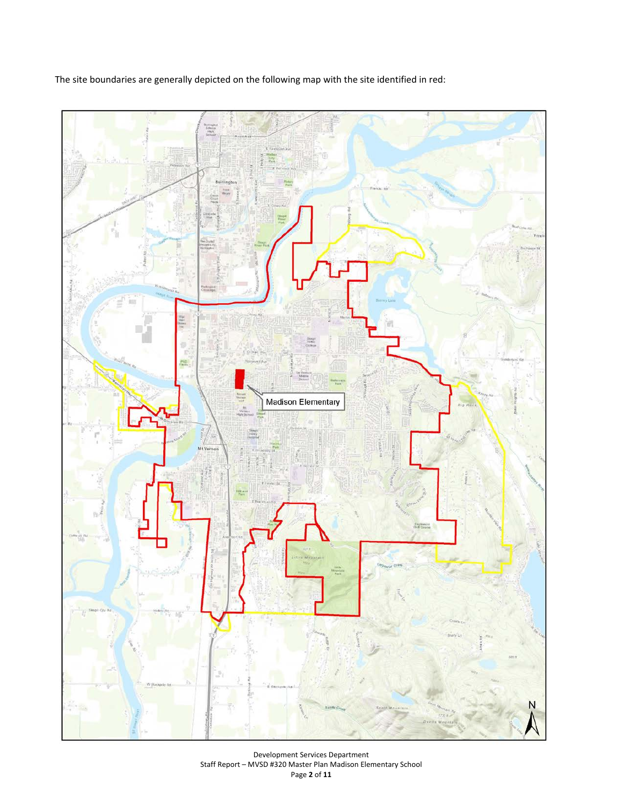The site boundaries are generally depicted on the following map with the site identified in red:



Development Services Department Staff Report – MVSD #320 Master Plan Madison Elementary School Page **2** of **11**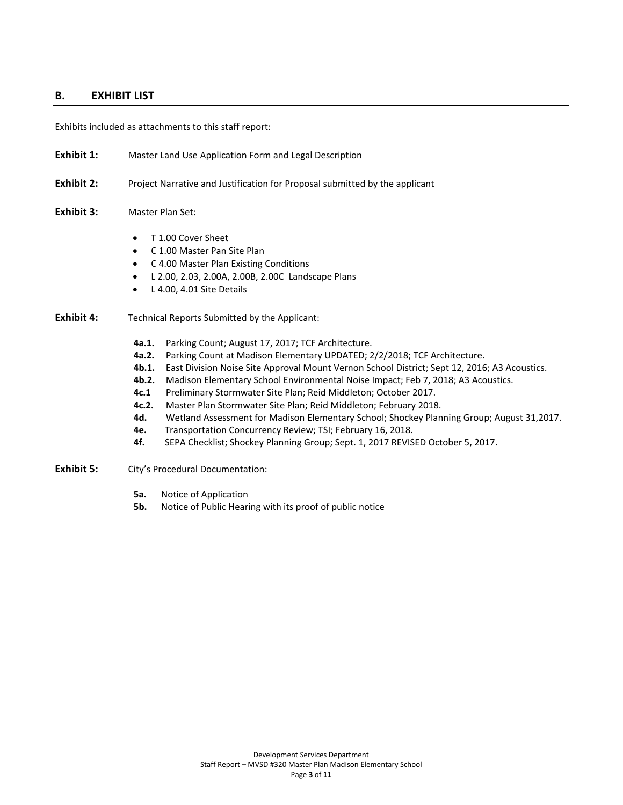## **B. EXHIBIT LIST**

Exhibits included as attachments to this staff report:

- **Exhibit 1:** Master Land Use Application Form and Legal Description
- **Exhibit 2:** Project Narrative and Justification for Proposal submitted by the applicant
- **Exhibit 3:** Master Plan Set:
	- T 1.00 Cover Sheet
	- C 1.00 Master Pan Site Plan
	- C 4.00 Master Plan Existing Conditions
	- L 2.00, 2.03, 2.00A, 2.00B, 2.00C Landscape Plans
	- L 4.00, 4.01 Site Details

## **Exhibit 4:** Technical Reports Submitted by the Applicant:

- **4a.1.** Parking Count; August 17, 2017; TCF Architecture.
- **4a.2.** Parking Count at Madison Elementary UPDATED; 2/2/2018; TCF Architecture.
- **4b.1.** East Division Noise Site Approval Mount Vernon School District; Sept 12, 2016; A3 Acoustics.
- **4b.2.** Madison Elementary School Environmental Noise Impact; Feb 7, 2018; A3 Acoustics.
- **4c.1** Preliminary Stormwater Site Plan; Reid Middleton; October 2017.
- **4c.2.** Master Plan Stormwater Site Plan; Reid Middleton; February 2018.
- **4d.** Wetland Assessment for Madison Elementary School; Shockey Planning Group; August 31,2017.
- **4e.** Transportation Concurrency Review; TSI; February 16, 2018.
- **4f.** SEPA Checklist; Shockey Planning Group; Sept. 1, 2017 REVISED October 5, 2017.
- **Exhibit 5:** City's Procedural Documentation:
	- **5a.** Notice of Application
	- **5b.** Notice of Public Hearing with its proof of public notice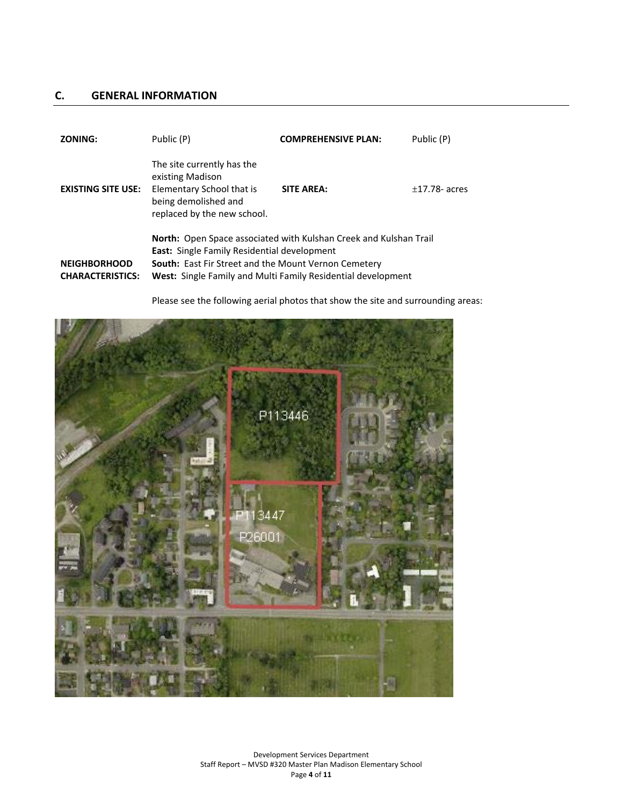# **C. GENERAL INFORMATION**

| <b>ZONING:</b>                                 | Public (P)                                                                                                                                                                                                                                             | <b>COMPREHENSIVE PLAN:</b> | Public (P)       |
|------------------------------------------------|--------------------------------------------------------------------------------------------------------------------------------------------------------------------------------------------------------------------------------------------------------|----------------------------|------------------|
| <b>EXISTING SITE USE:</b>                      | The site currently has the<br>existing Madison<br>Elementary School that is<br>being demolished and<br>replaced by the new school.                                                                                                                     | <b>SITE AREA:</b>          | $+17.78$ - acres |
| <b>NEIGHBORHOOD</b><br><b>CHARACTERISTICS:</b> | <b>North:</b> Open Space associated with Kulshan Creek and Kulshan Trail<br>East: Single Family Residential development<br><b>South:</b> East Fir Street and the Mount Vernon Cemetery<br>West: Single Family and Multi Family Residential development |                            |                  |

Please see the following aerial photos that show the site and surrounding areas:

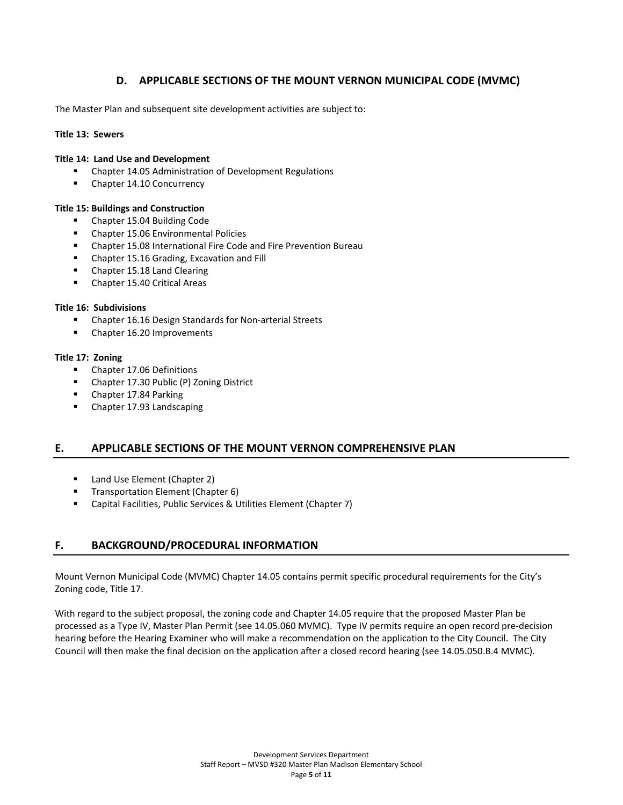# **D. APPLICABLE SECTIONS OF THE MOUNT VERNON MUNICIPAL CODE (MVMC)**

The Master Plan and subsequent site development activities are subject to:

#### **Title 13: Sewers**

#### **Title 14: Land Use and Development**

- Chapter 14.05 Administration of Development Regulations
- Chapter 14.10 Concurrency

#### **Title 15: Buildings and Construction**

- Chapter 15.04 Building Code
- **EXECUTE:** Chapter 15.06 Environmental Policies
- Chapter 15.08 International Fire Code and Fire Prevention Bureau
- Chapter 15.16 Grading, Excavation and Fill
- Chapter 15.18 Land Clearing
- Chapter 15.40 Critical Areas

### **Title 16: Subdivisions**

- Chapter 16.16 Design Standards for Non-arterial Streets
- Chapter 16.20 Improvements

#### **Title 17: Zoning**

- **Chapter 17.06 Definitions**
- Chapter 17.30 Public (P) Zoning District
- **Chapter 17.84 Parking**
- Chapter 17.93 Landscaping

## **E. APPLICABLE SECTIONS OF THE MOUNT VERNON COMPREHENSIVE PLAN**

- **Land Use Element (Chapter 2)**
- **Transportation Element (Chapter 6)**
- Capital Facilities, Public Services & Utilities Element (Chapter 7)

## **F. BACKGROUND/PROCEDURAL INFORMATION**

Mount Vernon Municipal Code (MVMC) Chapter 14.05 contains permit specific procedural requirements for the City's Zoning code, Title 17.

With regard to the subject proposal, the zoning code and Chapter 14.05 require that the proposed Master Plan be processed as a Type IV, Master Plan Permit (see 14.05.060 MVMC). Type IV permits require an open record pre-decision hearing before the Hearing Examiner who will make a recommendation on the application to the City Council. The City Council will then make the final decision on the application after a closed record hearing (see 14.05.050.B.4 MVMC).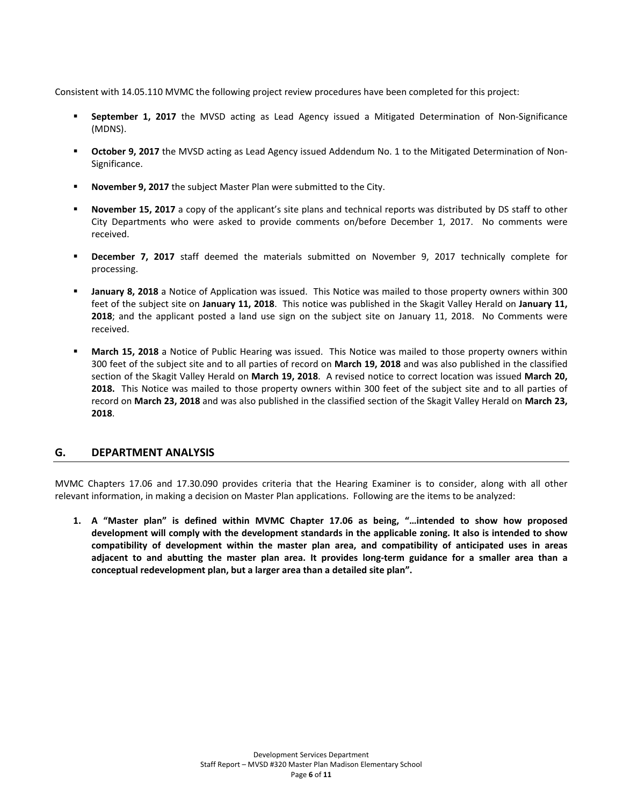Consistent with 14.05.110 MVMC the following project review procedures have been completed for this project:

- **September 1, 2017** the MVSD acting as Lead Agency issued a Mitigated Determination of Non-Significance (MDNS).
- **October 9, 2017** the MVSD acting as Lead Agency issued Addendum No. 1 to the Mitigated Determination of Non-Significance.
- **November 9, 2017** the subject Master Plan were submitted to the City.
- **November 15, 2017** a copy of the applicant's site plans and technical reports was distributed by DS staff to other City Departments who were asked to provide comments on/before December 1, 2017. No comments were received.
- **December 7, 2017** staff deemed the materials submitted on November 9, 2017 technically complete for processing.
- **January 8, 2018** a Notice of Application was issued. This Notice was mailed to those property owners within 300 feet of the subject site on **January 11, 2018**. This notice was published in the Skagit Valley Herald on **January 11, 2018**; and the applicant posted a land use sign on the subject site on January 11, 2018. No Comments were received.
- **March 15, 2018** a Notice of Public Hearing was issued. This Notice was mailed to those property owners within 300 feet of the subject site and to all parties of record on **March 19, 2018** and was also published in the classified section of the Skagit Valley Herald on **March 19, 2018**. A revised notice to correct location was issued **March 20, 2018.** This Notice was mailed to those property owners within 300 feet of the subject site and to all parties of record on **March 23, 2018** and was also published in the classified section of the Skagit Valley Herald on **March 23, 2018**.

## **G. DEPARTMENT ANALYSIS**

MVMC Chapters 17.06 and 17.30.090 provides criteria that the Hearing Examiner is to consider, along with all other relevant information, in making a decision on Master Plan applications. Following are the items to be analyzed:

**1. A "Master plan" is defined within MVMC Chapter 17.06 as being, "…intended to show how proposed development will comply with the development standards in the applicable zoning. It also is intended to show compatibility of development within the master plan area, and compatibility of anticipated uses in areas adjacent to and abutting the master plan area. It provides long-term guidance for a smaller area than a conceptual redevelopment plan, but a larger area than a detailed site plan".**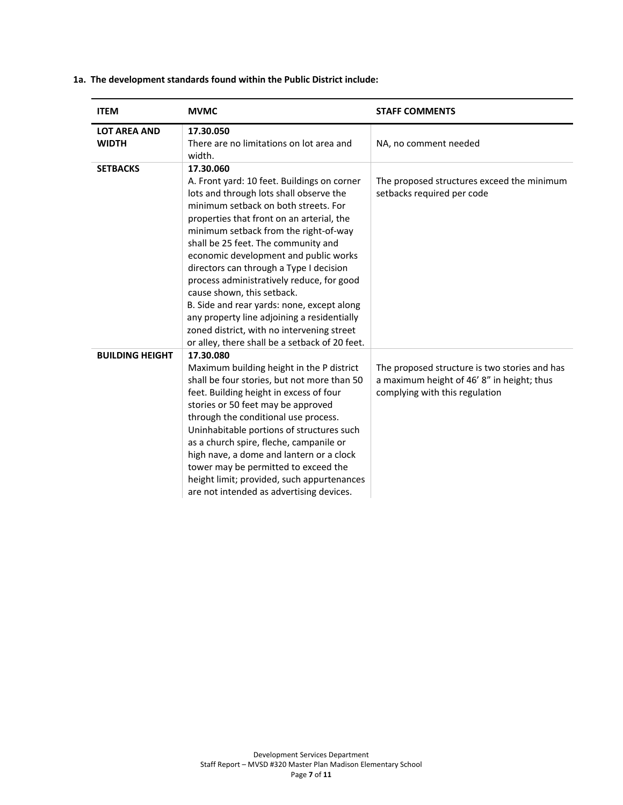| <b>ITEM</b>                         | <b>MVMC</b>                                                                                                                                                                                                                                                                                                                                                                                                                                                                                                                                                                                                                          | <b>STAFF COMMENTS</b>                                                                                                         |
|-------------------------------------|--------------------------------------------------------------------------------------------------------------------------------------------------------------------------------------------------------------------------------------------------------------------------------------------------------------------------------------------------------------------------------------------------------------------------------------------------------------------------------------------------------------------------------------------------------------------------------------------------------------------------------------|-------------------------------------------------------------------------------------------------------------------------------|
| <b>LOT AREA AND</b><br><b>WIDTH</b> | 17.30.050<br>There are no limitations on lot area and<br>width.                                                                                                                                                                                                                                                                                                                                                                                                                                                                                                                                                                      | NA, no comment needed                                                                                                         |
| <b>SETBACKS</b>                     | 17.30.060<br>A. Front yard: 10 feet. Buildings on corner<br>lots and through lots shall observe the<br>minimum setback on both streets. For<br>properties that front on an arterial, the<br>minimum setback from the right-of-way<br>shall be 25 feet. The community and<br>economic development and public works<br>directors can through a Type I decision<br>process administratively reduce, for good<br>cause shown, this setback.<br>B. Side and rear yards: none, except along<br>any property line adjoining a residentially<br>zoned district, with no intervening street<br>or alley, there shall be a setback of 20 feet. | The proposed structures exceed the minimum<br>setbacks required per code                                                      |
| <b>BUILDING HEIGHT</b>              | 17.30.080<br>Maximum building height in the P district<br>shall be four stories, but not more than 50<br>feet. Building height in excess of four<br>stories or 50 feet may be approved<br>through the conditional use process.<br>Uninhabitable portions of structures such<br>as a church spire, fleche, campanile or<br>high nave, a dome and lantern or a clock<br>tower may be permitted to exceed the<br>height limit; provided, such appurtenances<br>are not intended as advertising devices.                                                                                                                                 | The proposed structure is two stories and has<br>a maximum height of 46' 8" in height; thus<br>complying with this regulation |

## **1a. The development standards found within the Public District include:**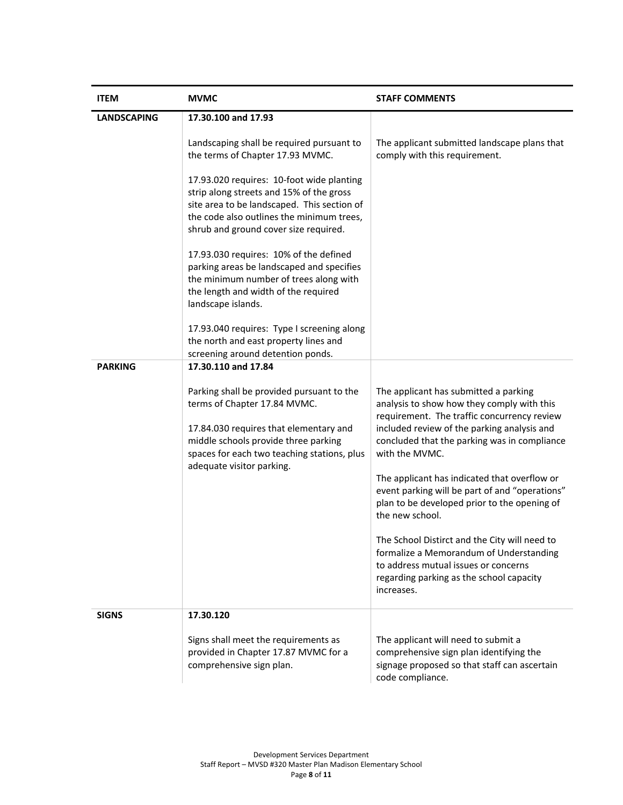| <b>ITEM</b>        | <b>MVMC</b>                                                                                                                                                                                                                             | <b>STAFF COMMENTS</b>                                                                                                                                                                                                                                                                                                                                                                                                                                                                                                                                                                                                  |
|--------------------|-----------------------------------------------------------------------------------------------------------------------------------------------------------------------------------------------------------------------------------------|------------------------------------------------------------------------------------------------------------------------------------------------------------------------------------------------------------------------------------------------------------------------------------------------------------------------------------------------------------------------------------------------------------------------------------------------------------------------------------------------------------------------------------------------------------------------------------------------------------------------|
| <b>LANDSCAPING</b> | 17.30.100 and 17.93                                                                                                                                                                                                                     |                                                                                                                                                                                                                                                                                                                                                                                                                                                                                                                                                                                                                        |
|                    | Landscaping shall be required pursuant to<br>the terms of Chapter 17.93 MVMC.                                                                                                                                                           | The applicant submitted landscape plans that<br>comply with this requirement.                                                                                                                                                                                                                                                                                                                                                                                                                                                                                                                                          |
|                    | 17.93.020 requires: 10-foot wide planting<br>strip along streets and 15% of the gross<br>site area to be landscaped. This section of<br>the code also outlines the minimum trees,<br>shrub and ground cover size required.              |                                                                                                                                                                                                                                                                                                                                                                                                                                                                                                                                                                                                                        |
|                    | 17.93.030 requires: 10% of the defined<br>parking areas be landscaped and specifies<br>the minimum number of trees along with<br>the length and width of the required<br>landscape islands.                                             |                                                                                                                                                                                                                                                                                                                                                                                                                                                                                                                                                                                                                        |
|                    | 17.93.040 requires: Type I screening along<br>the north and east property lines and<br>screening around detention ponds.                                                                                                                |                                                                                                                                                                                                                                                                                                                                                                                                                                                                                                                                                                                                                        |
| <b>PARKING</b>     | 17.30.110 and 17.84                                                                                                                                                                                                                     |                                                                                                                                                                                                                                                                                                                                                                                                                                                                                                                                                                                                                        |
|                    | Parking shall be provided pursuant to the<br>terms of Chapter 17.84 MVMC.<br>17.84.030 requires that elementary and<br>middle schools provide three parking<br>spaces for each two teaching stations, plus<br>adequate visitor parking. | The applicant has submitted a parking<br>analysis to show how they comply with this<br>requirement. The traffic concurrency review<br>included review of the parking analysis and<br>concluded that the parking was in compliance<br>with the MVMC.<br>The applicant has indicated that overflow or<br>event parking will be part of and "operations"<br>plan to be developed prior to the opening of<br>the new school.<br>The School Distirct and the City will need to<br>formalize a Memorandum of Understanding<br>to address mutual issues or concerns<br>regarding parking as the school capacity<br>increases. |
| <b>SIGNS</b>       | 17.30.120                                                                                                                                                                                                                               |                                                                                                                                                                                                                                                                                                                                                                                                                                                                                                                                                                                                                        |
|                    | Signs shall meet the requirements as<br>provided in Chapter 17.87 MVMC for a<br>comprehensive sign plan.                                                                                                                                | The applicant will need to submit a<br>comprehensive sign plan identifying the<br>signage proposed so that staff can ascertain<br>code compliance.                                                                                                                                                                                                                                                                                                                                                                                                                                                                     |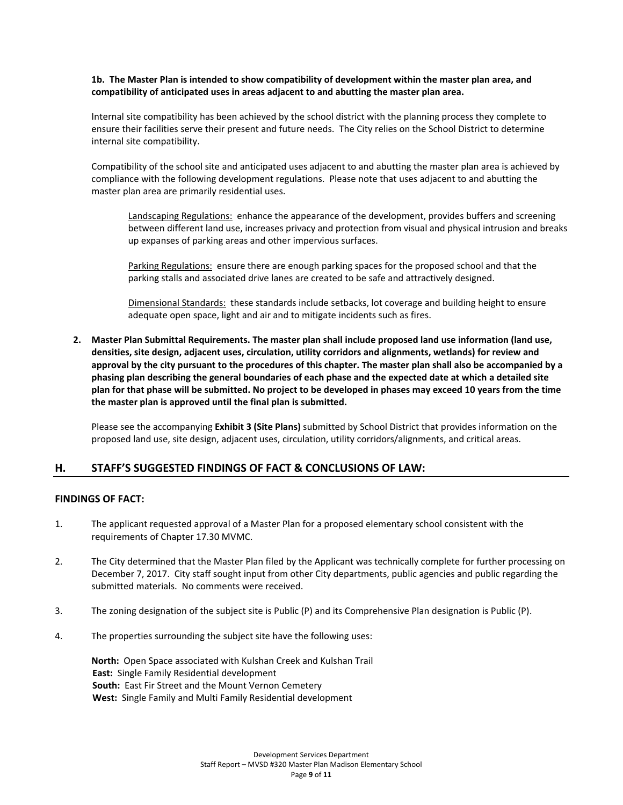### **1b. The Master Plan is intended to show compatibility of development within the master plan area, and compatibility of anticipated uses in areas adjacent to and abutting the master plan area.**

Internal site compatibility has been achieved by the school district with the planning process they complete to ensure their facilities serve their present and future needs. The City relies on the School District to determine internal site compatibility.

Compatibility of the school site and anticipated uses adjacent to and abutting the master plan area is achieved by compliance with the following development regulations. Please note that uses adjacent to and abutting the master plan area are primarily residential uses.

Landscaping Regulations: enhance the appearance of the development, provides buffers and screening between different land use, increases privacy and protection from visual and physical intrusion and breaks up expanses of parking areas and other impervious surfaces.

Parking Regulations: ensure there are enough parking spaces for the proposed school and that the parking stalls and associated drive lanes are created to be safe and attractively designed.

Dimensional Standards: these standards include setbacks, lot coverage and building height to ensure adequate open space, light and air and to mitigate incidents such as fires.

**2. Master Plan Submittal Requirements. The master plan shall include proposed land use information (land use, densities, site design, adjacent uses, circulation, utility corridors and alignments, wetlands) for review and approval by the city pursuant to the procedures of this chapter. The master plan shall also be accompanied by a phasing plan describing the general boundaries of each phase and the expected date at which a detailed site plan for that phase will be submitted. No project to be developed in phases may exceed 10 years from the time the master plan is approved until the final plan is submitted.**

Please see the accompanying **Exhibit 3 (Site Plans)** submitted by School District that provides information on the proposed land use, site design, adjacent uses, circulation, utility corridors/alignments, and critical areas.

## **H. STAFF'S SUGGESTED FINDINGS OF FACT & CONCLUSIONS OF LAW:**

## **FINDINGS OF FACT:**

- 1. The applicant requested approval of a Master Plan for a proposed elementary school consistent with the requirements of Chapter 17.30 MVMC.
- 2. The City determined that the Master Plan filed by the Applicant was technically complete for further processing on December 7, 2017. City staff sought input from other City departments, public agencies and public regarding the submitted materials. No comments were received.
- 3. The zoning designation of the subject site is Public (P) and its Comprehensive Plan designation is Public (P).
- 4. The properties surrounding the subject site have the following uses:

**North:** Open Space associated with Kulshan Creek and Kulshan Trail **East:** Single Family Residential development **South:** East Fir Street and the Mount Vernon Cemetery **West:** Single Family and Multi Family Residential development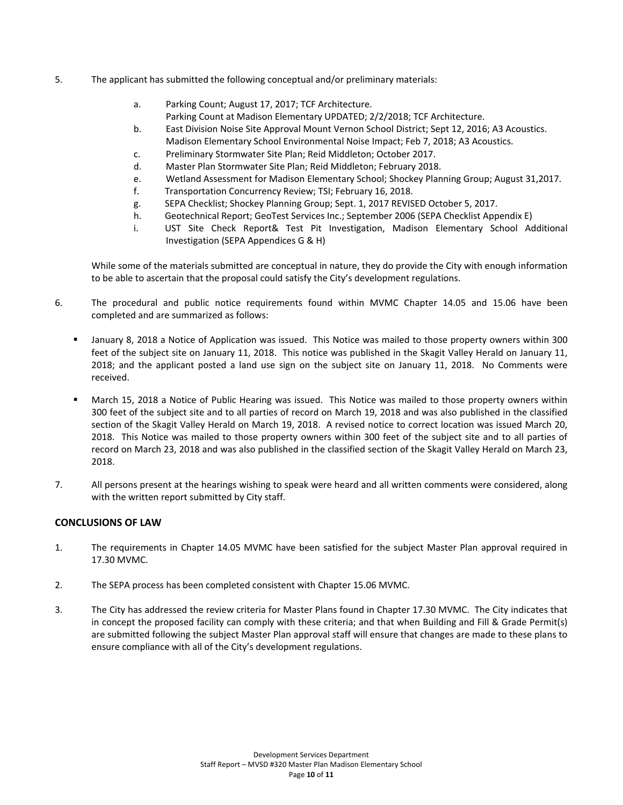- 5. The applicant has submitted the following conceptual and/or preliminary materials:
	- a. Parking Count; August 17, 2017; TCF Architecture. Parking Count at Madison Elementary UPDATED; 2/2/2018; TCF Architecture.
	- b. East Division Noise Site Approval Mount Vernon School District; Sept 12, 2016; A3 Acoustics. Madison Elementary School Environmental Noise Impact; Feb 7, 2018; A3 Acoustics.
	- c. Preliminary Stormwater Site Plan; Reid Middleton; October 2017.
	- d. Master Plan Stormwater Site Plan; Reid Middleton; February 2018.
	- e. Wetland Assessment for Madison Elementary School; Shockey Planning Group; August 31,2017.
	- f. Transportation Concurrency Review; TSI; February 16, 2018.
	- g. SEPA Checklist; Shockey Planning Group; Sept. 1, 2017 REVISED October 5, 2017.
	- h. Geotechnical Report; GeoTest Services Inc.; September 2006 (SEPA Checklist Appendix E)
	- i. UST Site Check Report& Test Pit Investigation, Madison Elementary School Additional Investigation (SEPA Appendices G & H)

While some of the materials submitted are conceptual in nature, they do provide the City with enough information to be able to ascertain that the proposal could satisfy the City's development regulations.

- 6. The procedural and public notice requirements found within MVMC Chapter 14.05 and 15.06 have been completed and are summarized as follows:
	- January 8, 2018 a Notice of Application was issued. This Notice was mailed to those property owners within 300 feet of the subject site on January 11, 2018. This notice was published in the Skagit Valley Herald on January 11, 2018; and the applicant posted a land use sign on the subject site on January 11, 2018. No Comments were received.
	- March 15, 2018 a Notice of Public Hearing was issued. This Notice was mailed to those property owners within 300 feet of the subject site and to all parties of record on March 19, 2018 and was also published in the classified section of the Skagit Valley Herald on March 19, 2018. A revised notice to correct location was issued March 20, 2018. This Notice was mailed to those property owners within 300 feet of the subject site and to all parties of record on March 23, 2018 and was also published in the classified section of the Skagit Valley Herald on March 23, 2018.
- 7. All persons present at the hearings wishing to speak were heard and all written comments were considered, along with the written report submitted by City staff.

## **CONCLUSIONS OF LAW**

- 1. The requirements in Chapter 14.05 MVMC have been satisfied for the subject Master Plan approval required in 17.30 MVMC.
- 2. The SEPA process has been completed consistent with Chapter 15.06 MVMC.
- 3. The City has addressed the review criteria for Master Plans found in Chapter 17.30 MVMC. The City indicates that in concept the proposed facility can comply with these criteria; and that when Building and Fill & Grade Permit(s) are submitted following the subject Master Plan approval staff will ensure that changes are made to these plans to ensure compliance with all of the City's development regulations.